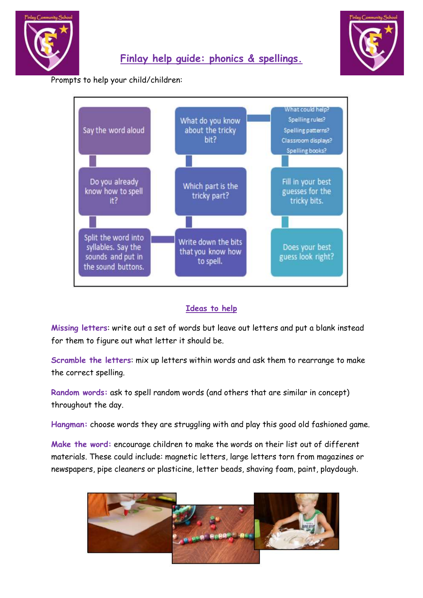

Prompts to help your child/children:



**Finlay help guide: phonics & spellings.**

## **Ideas to help**

**Missing letters**: write out a set of words but leave out letters and put a blank instead for them to figure out what letter it should be.

**Scramble the letters**: mix up letters within words and ask them to rearrange to make the correct spelling.

**Random words:** ask to spell random words (and others that are similar in concept) throughout the day.

**Hangman:** choose words they are struggling with and play this good old fashioned game.

**Make the word:** encourage children to make the words on their list out of different materials. These could include: magnetic letters, large letters torn from magazines or newspapers, pipe cleaners or plasticine, letter beads, shaving foam, paint, playdough.